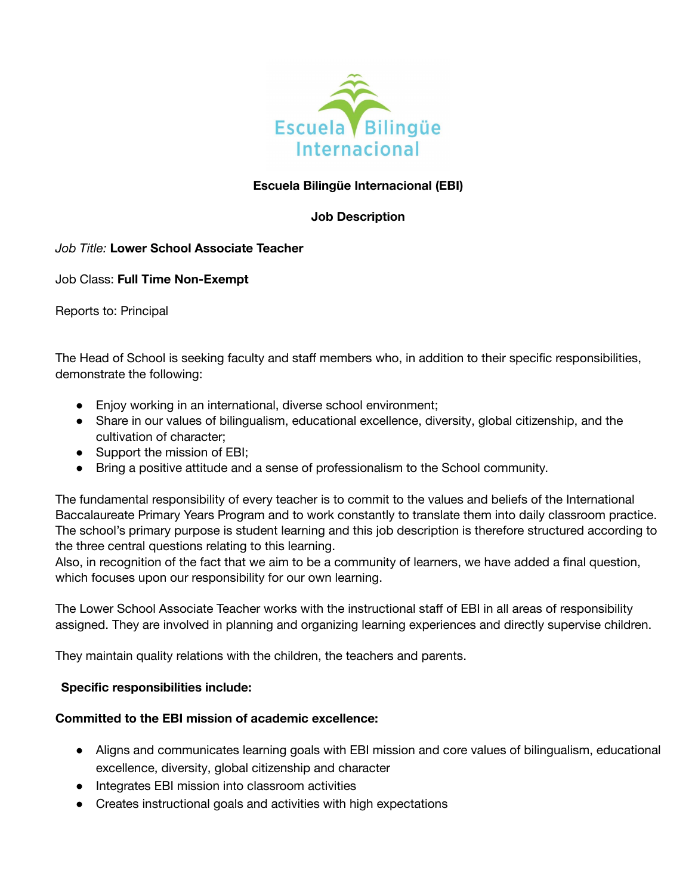

# **Escuela Bilingüe Internacional (EBI)**

# **Job Description**

# *Job Title:* **Lower School Associate Teacher**

Job Class: **Full Time Non-Exempt**

Reports to: Principal

The Head of School is seeking faculty and staff members who, in addition to their specific responsibilities, demonstrate the following:

- Enjoy working in an international, diverse school environment;
- Share in our values of bilingualism, educational excellence, diversity, global citizenship, and the cultivation of character;
- Support the mission of EBI;
- Bring a positive attitude and a sense of professionalism to the School community.

The fundamental responsibility of every teacher is to commit to the values and beliefs of the International Baccalaureate Primary Years Program and to work constantly to translate them into daily classroom practice. The school's primary purpose is student learning and this job description is therefore structured according to the three central questions relating to this learning.

Also, in recognition of the fact that we aim to be a community of learners, we have added a final question, which focuses upon our responsibility for our own learning.

The Lower School Associate Teacher works with the instructional staff of EBI in all areas of responsibility assigned. They are involved in planning and organizing learning experiences and directly supervise children.

They maintain quality relations with the children, the teachers and parents.

### **Specific responsibilities include:**

### **Committed to the EBI mission of academic excellence:**

- Aligns and communicates learning goals with EBI mission and core values of bilingualism, educational excellence, diversity, global citizenship and character
- Integrates EBI mission into classroom activities
- Creates instructional goals and activities with high expectations